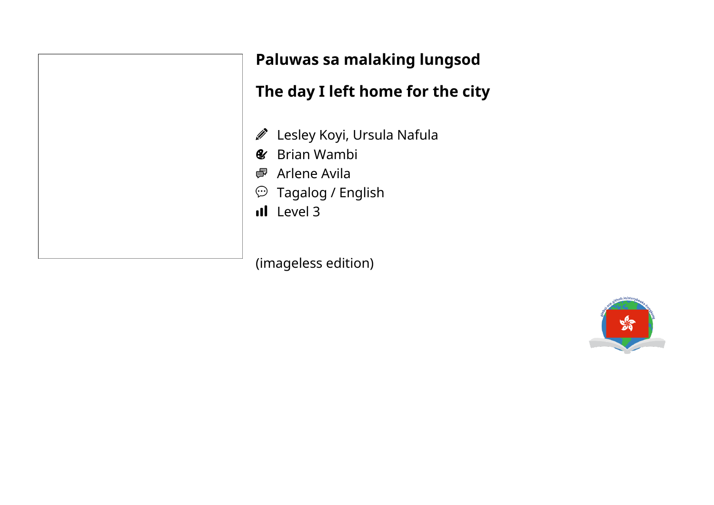

## **Paluwas sa malaking lungsod**

# **The day I left home for the city**

- Lesley Koyi, Ursula Nafula
- Brian Wambi  $\mathbf{C}$
- Arlene Avila
- $\mathfrak{D}$  Tagalog / English
- Il Level 3

(imageless edition)

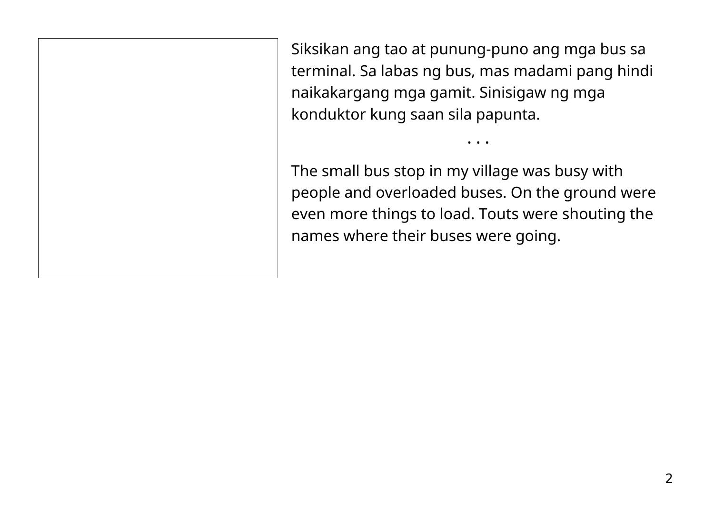Siksikan ang tao at punung-puno ang mga bus sa terminal. Sa labas ng bus, mas madami pang hindi naikakargang mga gamit. Sinisigaw ng mga konduktor kung saan sila papunta.

The small bus stop in my village was busy with people and overloaded buses. On the ground were even more things to load. Touts were shouting the names where their buses were going.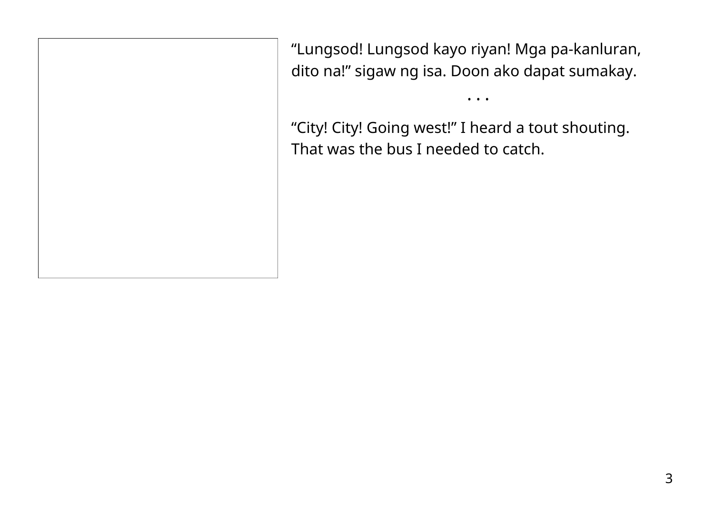"Lungsod! Lungsod kayo riyan! Mga pa-kanluran, dito na!" sigaw ng isa. Doon ako dapat sumakay.

• • •

"City! City! Going west!" I heard a tout shouting. That was the bus I needed to catch.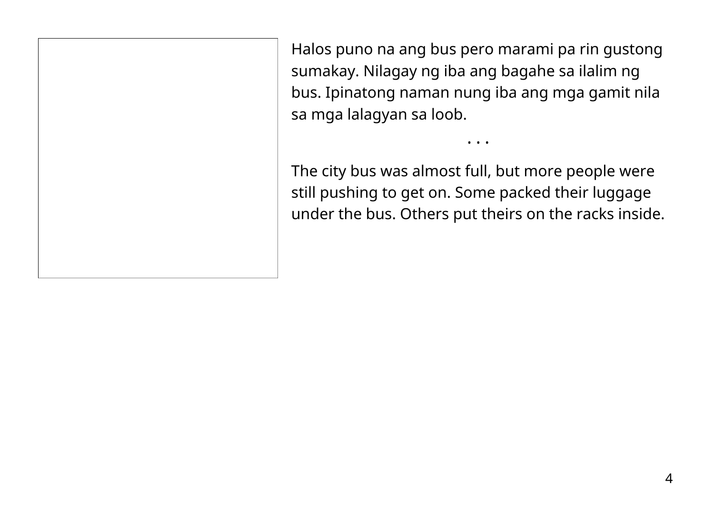Halos puno na ang bus pero marami pa rin gustong sumakay. Nilagay ng iba ang bagahe sa ilalim ng bus. Ipinatong naman nung iba ang mga gamit nila sa mga lalagyan sa loob.

The city bus was almost full, but more people were still pushing to get on. Some packed their luggage under the bus. Others put theirs on the racks inside.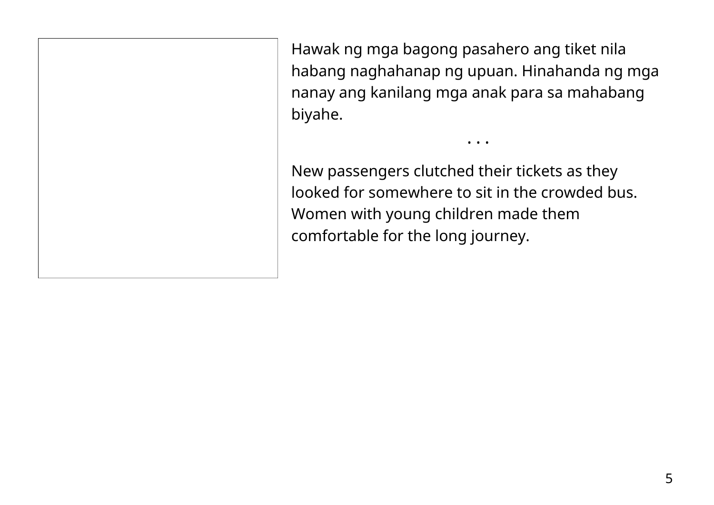Hawak ng mga bagong pasahero ang tiket nila habang naghahanap ng upuan. Hinahanda ng mga nanay ang kanilang mga anak para sa mahabang biyahe.

• • •

New passengers clutched their tickets as they looked for somewhere to sit in the crowded bus. Women with young children made them comfortable for the long journey.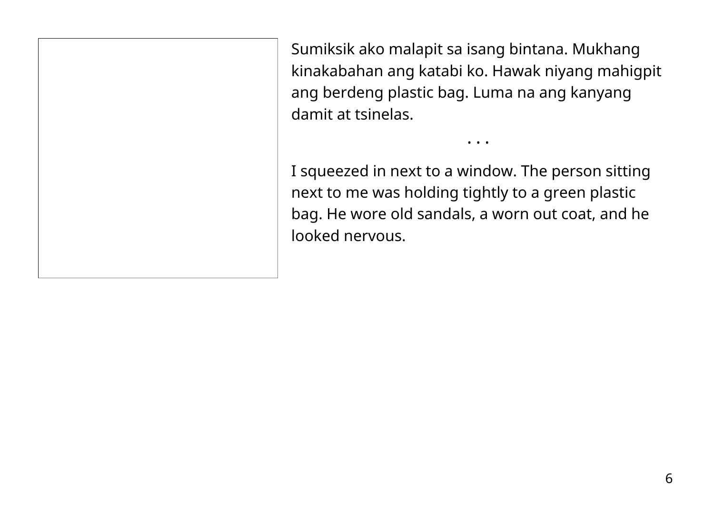Sumiksik ako malapit sa isang bintana. Mukhang kinakabahan ang katabi ko. Hawak niyang mahigpit ang berdeng plastic bag. Luma na ang kanyang damit at tsinelas.

• • •

I squeezed in next to a window. The person sitting next to me was holding tightly to a green plastic bag. He wore old sandals, a worn out coat, and he looked nervous.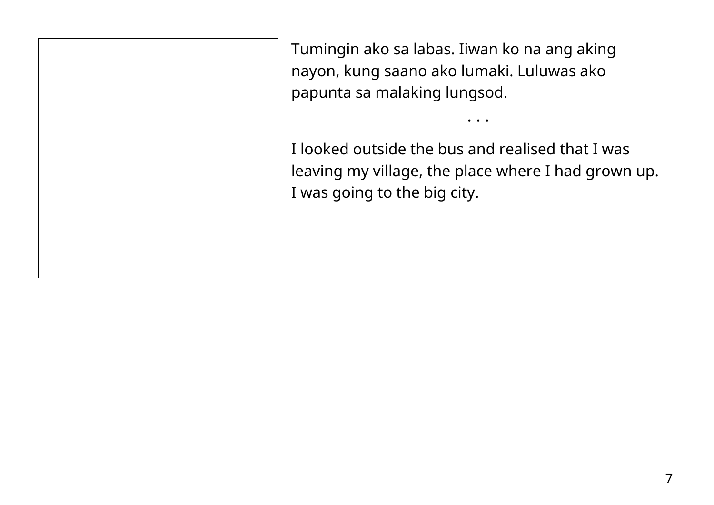Tumingin ako sa labas. Iiwan ko na ang aking nayon, kung saano ako lumaki. Luluwas ako papunta sa malaking lungsod.

I looked outside the bus and realised that I was leaving my village, the place where I had grown up. I was going to the big city.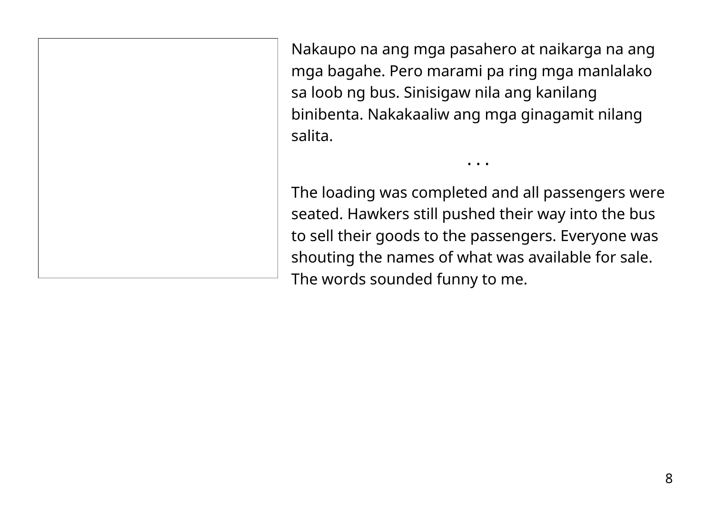Nakaupo na ang mga pasahero at naikarga na ang mga bagahe. Pero marami pa ring mga manlalako sa loob ng bus. Sinisigaw nila ang kanilang binibenta. Nakakaaliw ang mga ginagamit nilang salita.

The loading was completed and all passengers were seated. Hawkers still pushed their way into the bus to sell their goods to the passengers. Everyone was shouting the names of what was available for sale. The words sounded funny to me.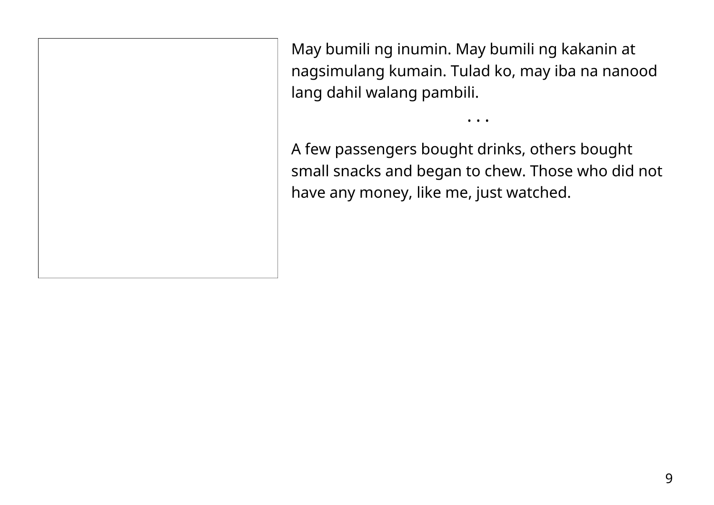May bumili ng inumin. May bumili ng kakanin at nagsimulang kumain. Tulad ko, may iba na nanood lang dahil walang pambili.

A few passengers bought drinks, others bought small snacks and began to chew. Those who did not have any money, like me, just watched.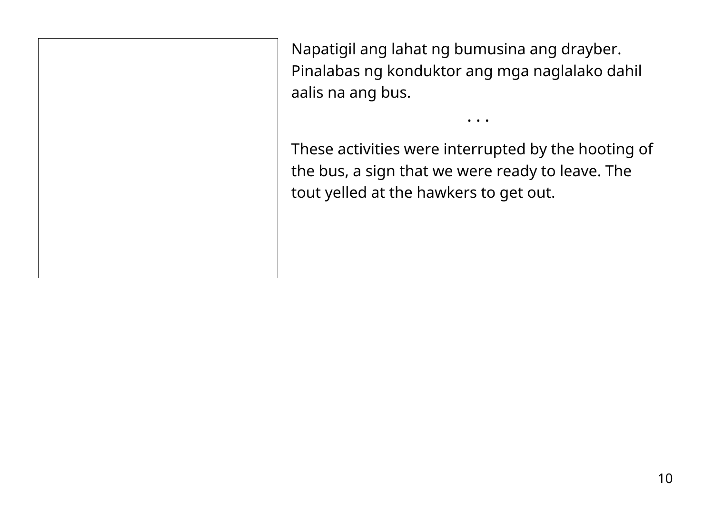Napatigil ang lahat ng bumusina ang drayber. Pinalabas ng konduktor ang mga naglalako dahil aalis na ang bus.

These activities were interrupted by the hooting of the bus, a sign that we were ready to leave. The tout yelled at the hawkers to get out.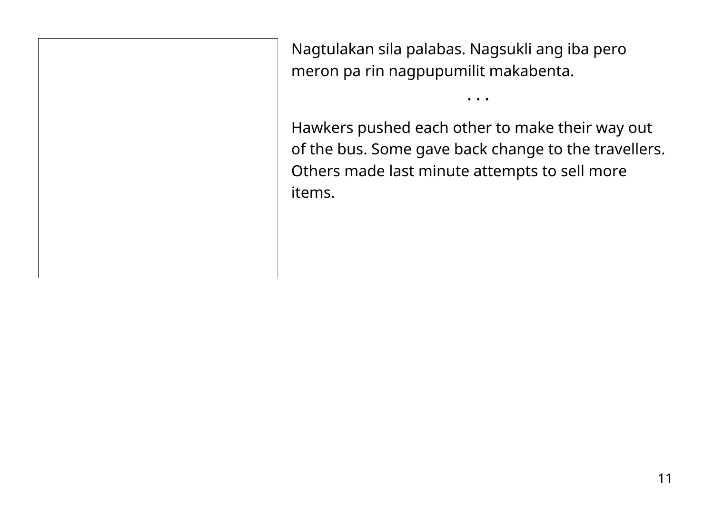Nagtulakan sila palabas. Nagsukli ang iba pero meron pa rin nagpupumilit makabenta.

Hawkers pushed each other to make their way out of the bus. Some gave back change to the travellers. Others made last minute attempts to sell more items.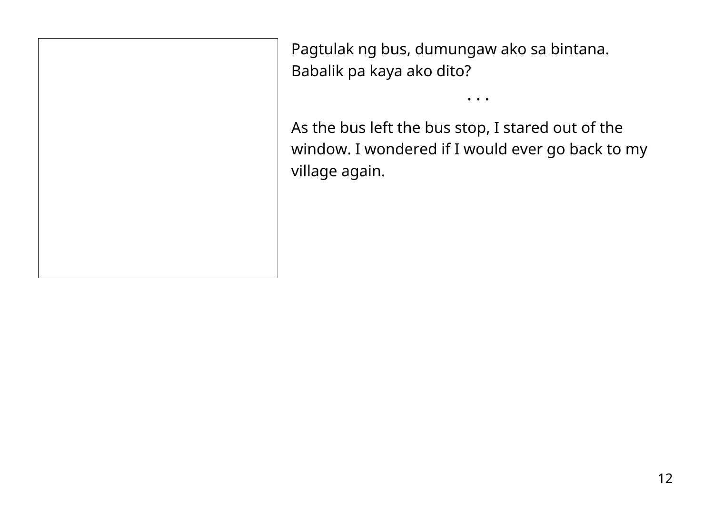Pagtulak ng bus, dumungaw ako sa bintana. Babalik pa kaya ako dito?

As the bus left the bus stop, I stared out of the window. I wondered if I would ever go back to my village again.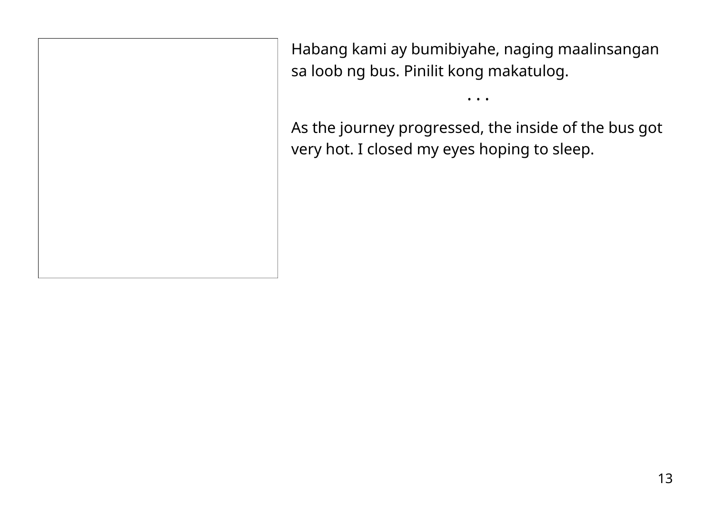Habang kami ay bumibiyahe, naging maalinsangan sa loob ng bus. Pinilit kong makatulog.

• • •

As the journey progressed, the inside of the bus got very hot. I closed my eyes hoping to sleep.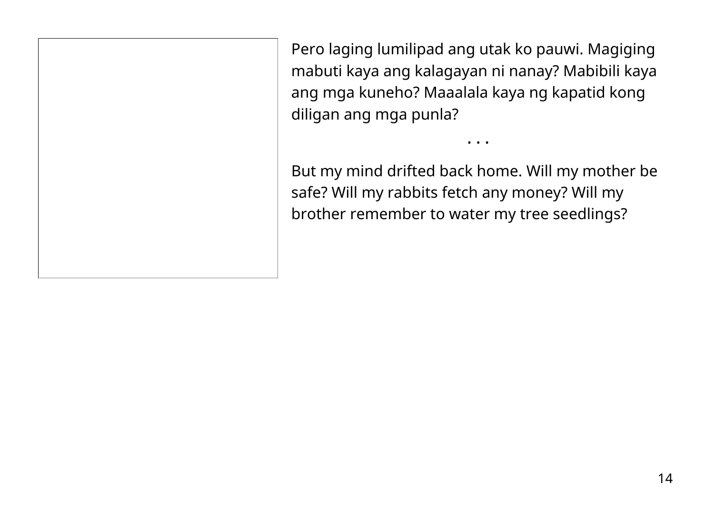Pero laging lumilipad ang utak ko pauwi. Magiging mabuti kaya ang kalagayan ni nanay? Mabibili kaya ang mga kuneho? Maaalala kaya ng kapatid kong diligan ang mga punla?

But my mind drifted back home. Will my mother be safe? Will my rabbits fetch any money? Will my brother remember to water my tree seedlings?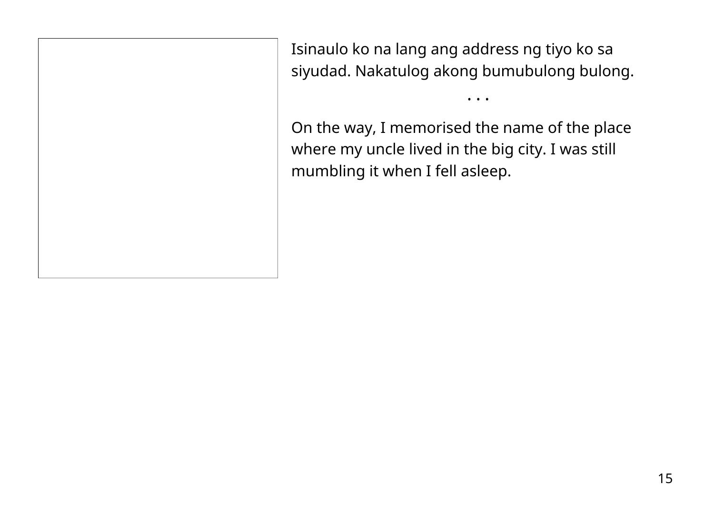Isinaulo ko na lang ang address ng tiyo ko sa siyudad. Nakatulog akong bumubulong bulong.

• • •

On the way, I memorised the name of the place where my uncle lived in the big city. I was still mumbling it when I fell asleep.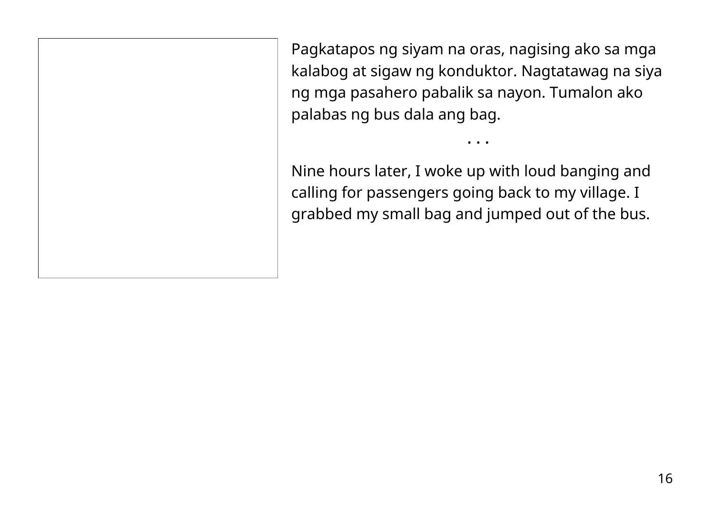Pagkatapos ng siyam na oras, nagising ako sa mga kalabog at sigaw ng konduktor. Nagtatawag na siya ng mga pasahero pabalik sa nayon. Tumalon ako palabas ng bus dala ang bag.

• • •

Nine hours later, I woke up with loud banging and calling for passengers going back to my village. I grabbed my small bag and jumped out of the bus.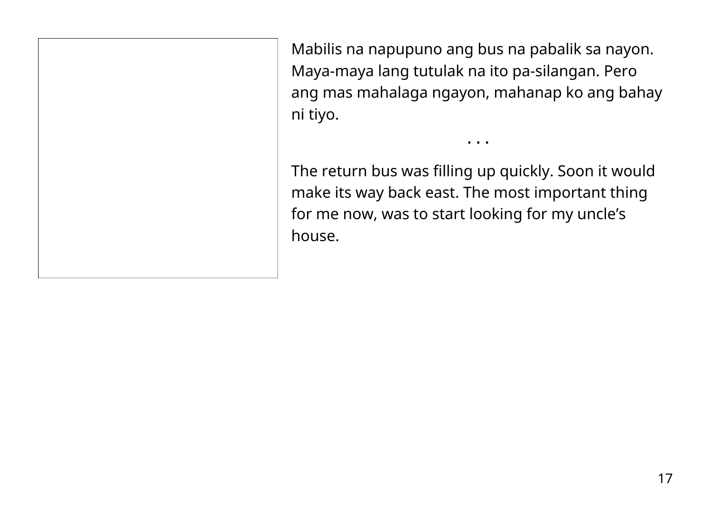Mabilis na napupuno ang bus na pabalik sa nayon. Maya-maya lang tutulak na ito pa-silangan. Pero ang mas mahalaga ngayon, mahanap ko ang bahay ni tiyo.

• • •

The return bus was filling up quickly. Soon it would make its way back east. The most important thing for me now, was to start looking for my uncle's house.